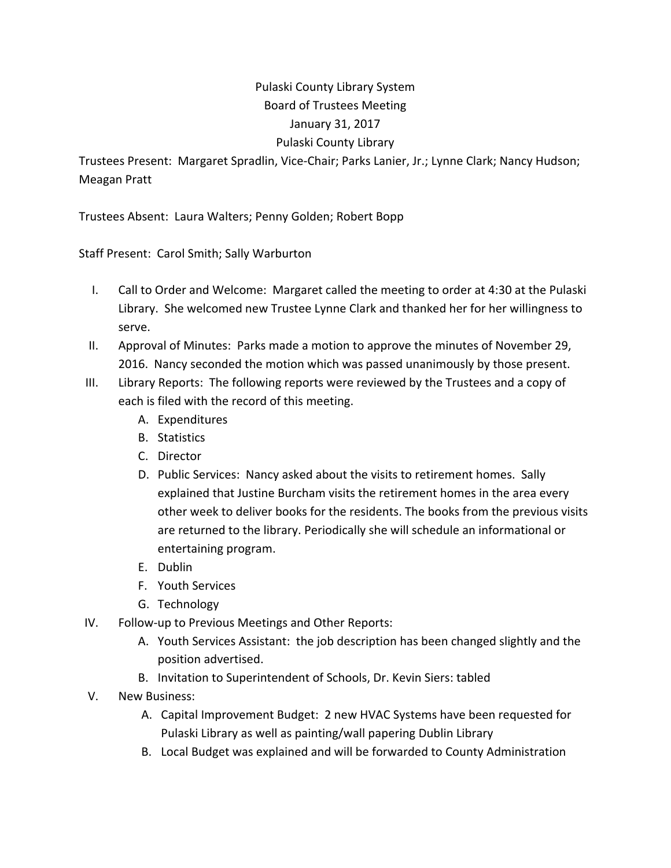## Pulaski County Library System Board of Trustees Meeting January 31, 2017 Pulaski County Library

Trustees Present: Margaret Spradlin, Vice‐Chair; Parks Lanier, Jr.; Lynne Clark; Nancy Hudson; Meagan Pratt

Trustees Absent: Laura Walters; Penny Golden; Robert Bopp

Staff Present: Carol Smith; Sally Warburton

- I. Call to Order and Welcome: Margaret called the meeting to order at 4:30 at the Pulaski Library. She welcomed new Trustee Lynne Clark and thanked her for her willingness to serve.
- II. Approval of Minutes: Parks made a motion to approve the minutes of November 29, 2016. Nancy seconded the motion which was passed unanimously by those present.
- III. Library Reports: The following reports were reviewed by the Trustees and a copy of each is filed with the record of this meeting.
	- A. Expenditures
	- B. Statistics
	- C. Director
	- D. Public Services: Nancy asked about the visits to retirement homes. Sally explained that Justine Burcham visits the retirement homes in the area every other week to deliver books for the residents. The books from the previous visits are returned to the library. Periodically she will schedule an informational or entertaining program.
	- E. Dublin
	- F. Youth Services
	- G. Technology
- IV. Follow‐up to Previous Meetings and Other Reports:
	- A. Youth Services Assistant: the job description has been changed slightly and the position advertised.
	- B. Invitation to Superintendent of Schools, Dr. Kevin Siers: tabled
- V. New Business:
	- A. Capital Improvement Budget: 2 new HVAC Systems have been requested for Pulaski Library as well as painting/wall papering Dublin Library
	- B. Local Budget was explained and will be forwarded to County Administration